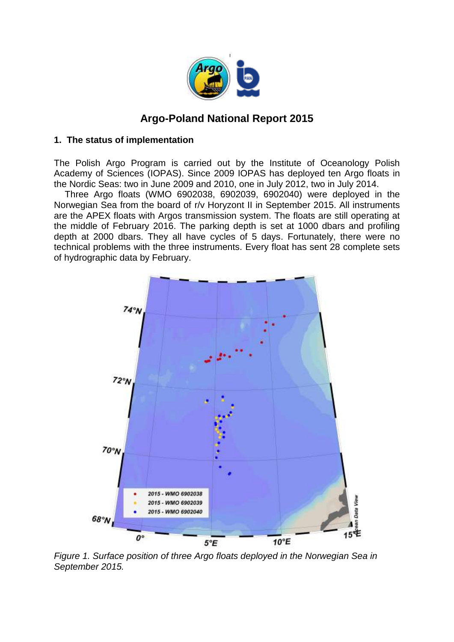

# **Argo-Poland National Report 2015**

#### **1. The status of implementation**

The Polish Argo Program is carried out by the Institute of Oceanology Polish Academy of Sciences (IOPAS). Since 2009 IOPAS has deployed ten Argo floats in the Nordic Seas: two in June 2009 and 2010, one in July 2012, two in July 2014.

Three Argo floats (WMO 6902038, 6902039, 6902040) were deployed in the Norwegian Sea from the board of r/v Horyzont II in September 2015. All instruments are the APEX floats with Argos transmission system. The floats are still operating at the middle of February 2016. The parking depth is set at 1000 dbars and profiling depth at 2000 dbars. They all have cycles of 5 days. Fortunately, there were no technical problems with the three instruments. Every float has sent 28 complete sets of hydrographic data by February.



*Figure 1. Surface position of three Argo floats deployed in the Norwegian Sea in September 2015.*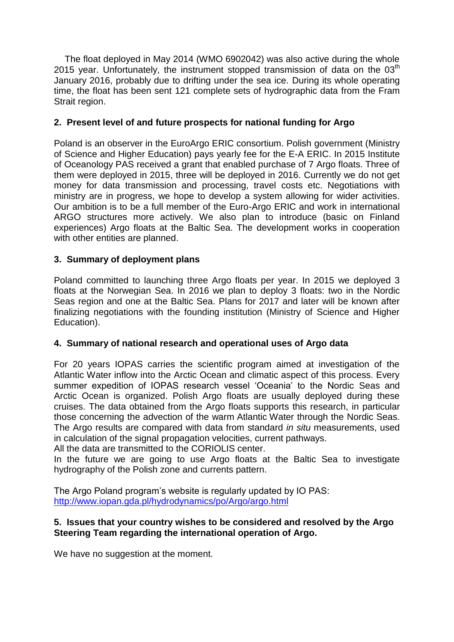The float deployed in May 2014 (WMO 6902042) was also active during the whole 2015 year. Unfortunately, the instrument stopped transmission of data on the  $03<sup>th</sup>$ January 2016, probably due to drifting under the sea ice. During its whole operating time, the float has been sent 121 complete sets of hydrographic data from the Fram Strait region.

# **2. Present level of and future prospects for national funding for Argo**

Poland is an observer in the EuroArgo ERIC consortium. Polish government (Ministry of Science and Higher Education) pays yearly fee for the E-A ERIC. In 2015 Institute of Oceanology PAS received a grant that enabled purchase of 7 Argo floats. Three of them were deployed in 2015, three will be deployed in 2016. Currently we do not get money for data transmission and processing, travel costs etc. Negotiations with ministry are in progress, we hope to develop a system allowing for wider activities. Our ambition is to be a full member of the Euro-Argo ERIC and work in international ARGO structures more actively. We also plan to introduce (basic on Finland experiences) Argo floats at the Baltic Sea. The development works in cooperation with other entities are planned.

# **3. Summary of deployment plans**

Poland committed to launching three Argo floats per year. In 2015 we deployed 3 floats at the Norwegian Sea. In 2016 we plan to deploy 3 floats: two in the Nordic Seas region and one at the Baltic Sea. Plans for 2017 and later will be known after finalizing negotiations with the founding institution (Ministry of Science and Higher Education).

# **4. Summary of national research and operational uses of Argo data**

For 20 years IOPAS carries the scientific program aimed at investigation of the Atlantic Water inflow into the Arctic Ocean and climatic aspect of this process. Every summer expedition of IOPAS research vessel 'Oceania' to the Nordic Seas and Arctic Ocean is organized. Polish Argo floats are usually deployed during these cruises. The data obtained from the Argo floats supports this research, in particular those concerning the advection of the warm Atlantic Water through the Nordic Seas. The Argo results are compared with data from standard *in situ* measurements, used in calculation of the signal propagation velocities, current pathways.

All the data are transmitted to the CORIOLIS center.

In the future we are going to use Argo floats at the Baltic Sea to investigate hydrography of the Polish zone and currents pattern.

The Argo Poland program's website is regularly updated by IO PAS: <http://www.iopan.gda.pl/hydrodynamics/po/Argo/argo.html>

### **5. Issues that your country wishes to be considered and resolved by the Argo Steering Team regarding the international operation of Argo.**

We have no suggestion at the moment.